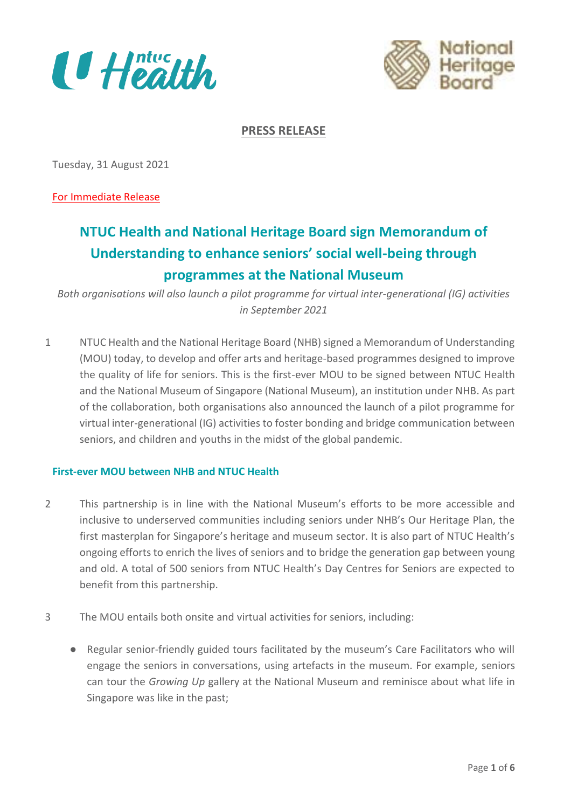



**PRESS RELEASE**

Tuesday, 31 August 2021

For Immediate Release

# **NTUC Health and National Heritage Board sign Memorandum of Understanding to enhance seniors' social well-being through programmes at the National Museum**

*Both organisations will also launch a pilot programme for virtual inter-generational (IG) activities in September 2021*

1 NTUC Health and the National Heritage Board (NHB) signed a Memorandum of Understanding (MOU) today, to develop and offer arts and heritage-based programmes designed to improve the quality of life for seniors. This is the first-ever MOU to be signed between NTUC Health and the National Museum of Singapore (National Museum), an institution under NHB. As part of the collaboration, both organisations also announced the launch of a pilot programme for virtual inter-generational (IG) activities to foster bonding and bridge communication between seniors, and children and youths in the midst of the global pandemic.

# **First-ever MOU between NHB and NTUC Health**

- 2 This partnership is in line with the National Museum's efforts to be more accessible and inclusive to underserved communities including seniors under NHB's Our Heritage Plan, the first masterplan for Singapore's heritage and museum sector. It is also part of NTUC Health's ongoing efforts to enrich the lives of seniors and to bridge the generation gap between young and old. A total of 500 seniors from NTUC Health's Day Centres for Seniors are expected to benefit from this partnership.
- 3 The MOU entails both onsite and virtual activities for seniors, including:
	- Regular senior-friendly guided tours facilitated by the museum's Care Facilitators who will engage the seniors in conversations, using artefacts in the museum. For example, seniors can tour the *Growing Up* gallery at the National Museum and reminisce about what life in Singapore was like in the past;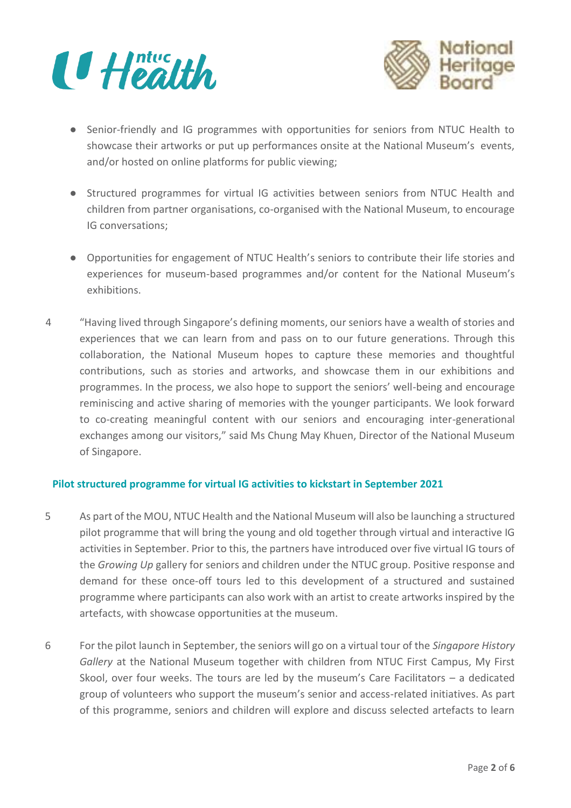



- Senior-friendly and IG programmes with opportunities for seniors from NTUC Health to showcase their artworks or put up performances onsite at the National Museum's events, and/or hosted on online platforms for public viewing;
- Structured programmes for virtual IG activities between seniors from NTUC Health and children from partner organisations, co-organised with the National Museum, to encourage IG conversations;
- Opportunities for engagement of NTUC Health's seniors to contribute their life stories and experiences for museum-based programmes and/or content for the National Museum's exhibitions.
- 4 "Having lived through Singapore's defining moments, our seniors have a wealth of stories and experiences that we can learn from and pass on to our future generations. Through this collaboration, the National Museum hopes to capture these memories and thoughtful contributions, such as stories and artworks, and showcase them in our exhibitions and programmes. In the process, we also hope to support the seniors' well-being and encourage reminiscing and active sharing of memories with the younger participants. We look forward to co-creating meaningful content with our seniors and encouraging inter-generational exchanges among our visitors," said Ms Chung May Khuen, Director of the National Museum of Singapore.

# **Pilot structured programme for virtual IG activities to kickstart in September 2021**

- 5 As part of the MOU, NTUC Health and the National Museum will also be launching a structured pilot programme that will bring the young and old together through virtual and interactive IG activities in September. Prior to this, the partners have introduced over five virtual IG tours of the *Growing Up* gallery for seniors and children under the NTUC group. Positive response and demand for these once-off tours led to this development of a structured and sustained programme where participants can also work with an artist to create artworks inspired by the artefacts, with showcase opportunities at the museum.
- 6 For the pilot launch in September, the seniors will go on a virtual tour of the *Singapore History Gallery* at the National Museum together with children from NTUC First Campus, My First Skool, over four weeks. The tours are led by the museum's Care Facilitators – a dedicated group of volunteers who support the museum's senior and access-related initiatives. As part of this programme, seniors and children will explore and discuss selected artefacts to learn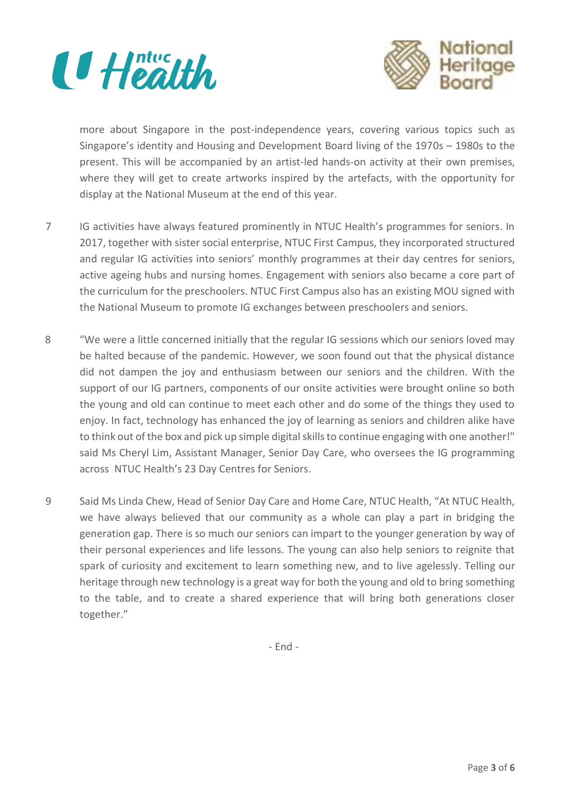



more about Singapore in the post-independence years, covering various topics such as Singapore's identity and Housing and Development Board living of the 1970s – 1980s to the present. This will be accompanied by an artist-led hands-on activity at their own premises, where they will get to create artworks inspired by the artefacts, with the opportunity for display at the National Museum at the end of this year.

- 7 IG activities have always featured prominently in NTUC Health's programmes for seniors. In 2017, together with sister social enterprise, NTUC First Campus, they incorporated structured and regular IG activities into seniors' monthly programmes at their day centres for seniors, active ageing hubs and nursing homes. Engagement with seniors also became a core part of the curriculum for the preschoolers. NTUC First Campus also has an existing MOU signed with the National Museum to promote IG exchanges between preschoolers and seniors.
- 8 "We were a little concerned initially that the regular IG sessions which our seniors loved may be halted because of the pandemic. However, we soon found out that the physical distance did not dampen the joy and enthusiasm between our seniors and the children. With the support of our IG partners, components of our onsite activities were brought online so both the young and old can continue to meet each other and do some of the things they used to enjoy. In fact, technology has enhanced the joy of learning as seniors and children alike have to think out of the box and pick up simple digital skills to continue engaging with one another!" said Ms Cheryl Lim, Assistant Manager, Senior Day Care, who oversees the IG programming across NTUC Health's 23 Day Centres for Seniors.
- 9 Said Ms Linda Chew, Head of Senior Day Care and Home Care, NTUC Health, "At NTUC Health, we have always believed that our community as a whole can play a part in bridging the generation gap. There is so much our seniors can impart to the younger generation by way of their personal experiences and life lessons. The young can also help seniors to reignite that spark of curiosity and excitement to learn something new, and to live agelessly. Telling our heritage through new technology is a great way for both the young and old to bring something to the table, and to create a shared experience that will bring both generations closer together."

- End -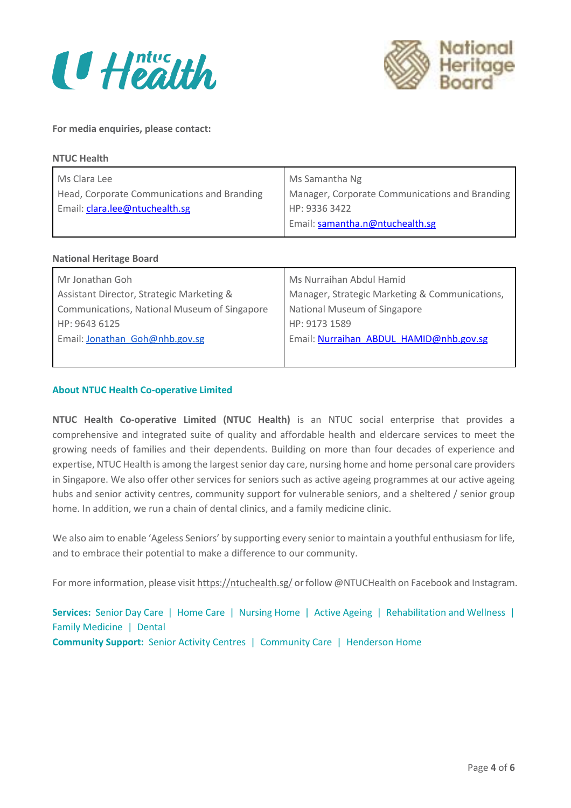



#### **For media enquiries, please contact:**

| <b>NTUC Health</b>                          |                                                |  |
|---------------------------------------------|------------------------------------------------|--|
| Ms Clara Lee                                | Ms Samantha Ng                                 |  |
| Head, Corporate Communications and Branding | Manager, Corporate Communications and Branding |  |
| Email: clara.lee@ntuchealth.sg              | HP: 9336 3422                                  |  |
|                                             | Email: samantha.n@ntuchealth.sg                |  |
|                                             |                                                |  |

#### **National Heritage Board**

| Mr Jonathan Goh                              | Ms Nurraihan Abdul Hamid                       |
|----------------------------------------------|------------------------------------------------|
| Assistant Director, Strategic Marketing &    | Manager, Strategic Marketing & Communications, |
| Communications, National Museum of Singapore | National Museum of Singapore                   |
| HP: 9643 6125                                | HP: 9173 1589                                  |
| Email: Jonathan Goh@nhb.gov.sg               | Email: Nurraihan ABDUL HAMID@nhb.gov.sg        |
|                                              |                                                |

#### **About NTUC Health Co-operative Limited**

**NTUC Health Co-operative Limited (NTUC Health)** is an NTUC social enterprise that provides a comprehensive and integrated suite of quality and affordable health and eldercare services to meet the growing needs of families and their dependents. Building on more than four decades of experience and expertise, NTUC Health is among the largest senior day care, nursing home and home personal care providers in Singapore. We also offer other services for seniors such as active ageing programmes at our active ageing hubs and senior activity centres, community support for vulnerable seniors, and a sheltered / senior group home. In addition, we run a chain of dental clinics, and a family medicine clinic.

We also aim to enable 'Ageless Seniors' by supporting every senior to maintain a youthful enthusiasm for life, and to embrace their potential to make a difference to our community.

For more information, please visit <https://ntuchealth.sg/> or follow @NTUCHealth on Facebook and Instagram.

**Services:** Senior Day Care | Home Care | Nursing Home | Active Ageing | Rehabilitation and Wellness | Family Medicine | Dental **Community Support:** Senior Activity Centres | Community Care | Henderson Home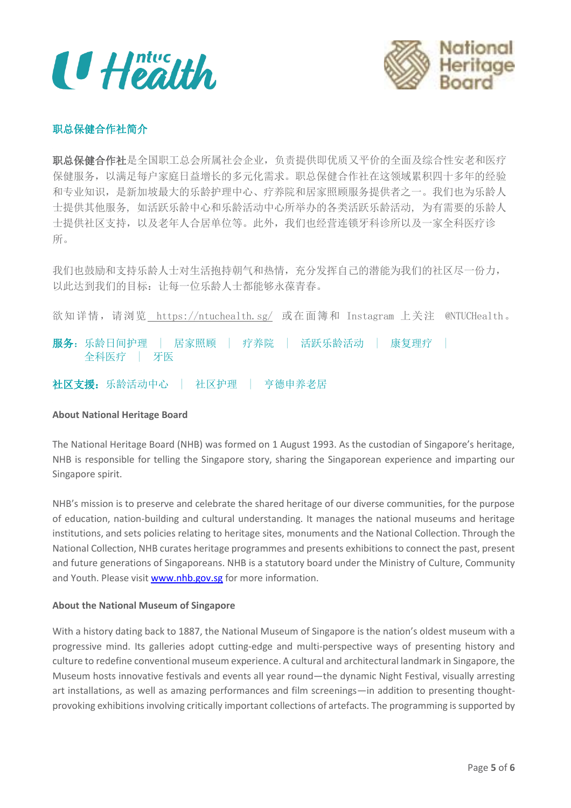$\mathbf{U}$  Health



# 职总保健合作社简介

职总保健合作社是全国职工总会所属社会企业,负责提供即优质又平价的全面及综合性安老和医疗 保健服务,以满足每户家庭日益增长的多元化需求。职总保健合作社在这领域累积四十多年的经验 和专业知识,是新加坡最大的乐龄护理中心、疗养院和居家照顾服务提供者之一。我们也为乐龄人 士提供其他服务, 如活跃乐龄中心和乐龄活动中心所举办的各类活跃乐龄活动, 为有需要的乐龄人 士提供社区支持,以及老年人合居单位等。此外,我们也经营连锁牙科诊所以及一家全科医疗诊 所。

我们也鼓励和支持乐龄人士对生活抱持朝气和热情,充分发挥自己的潜能为我们的社区尽一份力, 以此达到我们的目标:让每一位乐龄人士都能够永葆青春。

欲知详情,请浏览 <https://ntuchealth.sg/> 或在面簿和 Instagram 上关注 @NTUCHealth。

服务:乐龄日间护理 | 居家照顾 | 疗养院 | 活跃乐龄活动 | 康复理疗 全科医疗 | 牙医

社区支援:乐龄活动中心 | 社区护理 | 亨德申养老居

#### **About National Heritage Board**

The National Heritage Board (NHB) was formed on 1 August 1993. As the custodian of Singapore's heritage, NHB is responsible for telling the Singapore story, sharing the Singaporean experience and imparting our Singapore spirit.

NHB's mission is to preserve and celebrate the shared heritage of our diverse communities, for the purpose of education, nation-building and cultural understanding. It manages the national museums and heritage institutions, and sets policies relating to heritage sites, monuments and the National Collection. Through the National Collection, NHB curates heritage programmes and presents exhibitions to connect the past, present and future generations of Singaporeans. NHB is a statutory board under the Ministry of Culture, Community and Youth. Please visit [www.nhb.gov.sg](http://www.nhb.gov.sg/) for more information.

#### **About the National Museum of Singapore**

With a history dating back to 1887, the National Museum of Singapore is the nation's oldest museum with a progressive mind. Its galleries adopt cutting-edge and multi-perspective ways of presenting history and culture to redefine conventional museum experience. A cultural and architectural landmark in Singapore, the Museum hosts innovative festivals and events all year round—the dynamic Night Festival, visually arresting art installations, as well as amazing performances and film screenings—in addition to presenting thoughtprovoking exhibitions involving critically important collections of artefacts. The programming is supported by